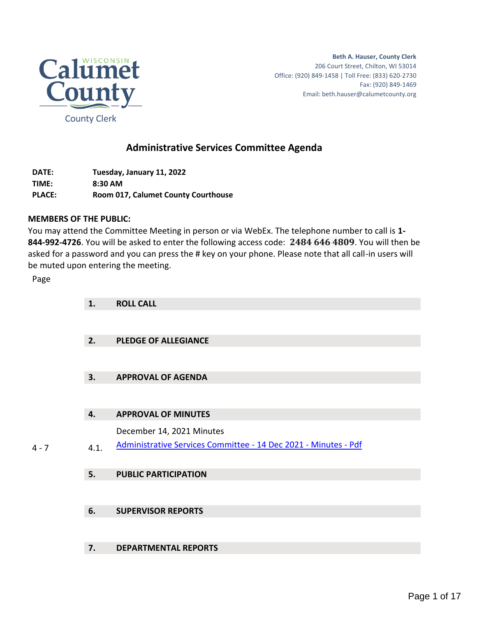

**Beth A. Hauser, County Clerk** 206 Court Street, Chilton, WI 53014 Office: (920) 849-1458 | Toll Free: (833) 620-2730 Fax: (920) 849-1469 Email: beth.hauser@calumetcounty.org

### **Administrative Services Committee Agenda**

**DATE: Tuesday, January 11, 2022 TIME: 8:30 AM PLACE: Room 017, Calumet County Courthouse**

#### **MEMBERS OF THE PUBLIC:**

You may attend the Committee Meeting in person or via WebEx. The telephone number to call is **1- 844-992-4726**. You will be asked to enter the following access code: **2484 646 4809**. You will then be asked for a password and you can press the # key on your phone. Please note that all call-in users will be muted upon entering the meeting.

Page

|         | 1.   | <b>ROLL CALL</b>                                                |
|---------|------|-----------------------------------------------------------------|
|         |      |                                                                 |
|         | 2.   | <b>PLEDGE OF ALLEGIANCE</b>                                     |
|         |      |                                                                 |
|         | 3.   | <b>APPROVAL OF AGENDA</b>                                       |
|         |      |                                                                 |
|         | 4.   | <b>APPROVAL OF MINUTES</b>                                      |
|         |      | December 14, 2021 Minutes                                       |
| $4 - 7$ | 4.1. | Administrative Services Committee - 14 Dec 2021 - Minutes - Pdf |
|         |      |                                                                 |

#### **5. PUBLIC PARTICIPATION**

#### **6. SUPERVISOR REPORTS**

#### **7. DEPARTMENTAL REPORTS**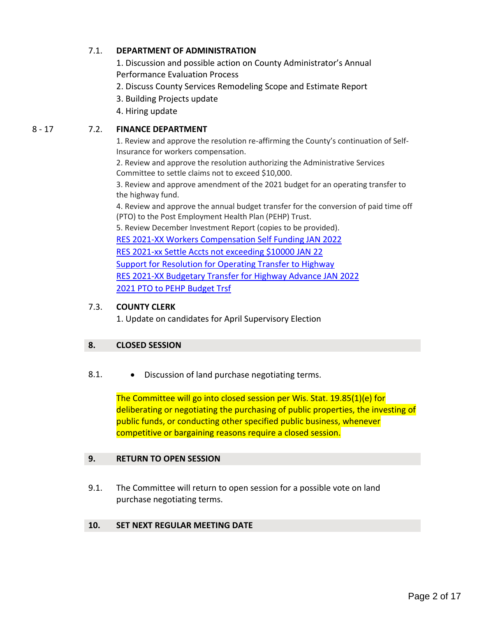#### 7.1. **DEPARTMENT OF ADMINISTRATION**

1. Discussion and possible action on County Administrator's Annual Performance Evaluation Process

- 2. Discuss County Services Remodeling Scope and Estimate Report
- 3. Building Projects update
- 4. Hiring update

#### 8 - 17 7.2. **FINANCE DEPARTMENT**

1. Review and approve the resolution re-affirming the County's continuation of Self-Insurance for workers compensation.

2. Review and approve the resolution authorizing the Administrative Services Committee to settle claims not to exceed \$10,000.

3. Review and approve amendment of the 2021 budget for an operating transfer to the highway fund.

4. Review and approve the annual budget transfer for the conversion of paid time off (PTO) to the Post Employment Health Plan (PEHP) Trust.

5. Review December Investment Report (copies to be provided). [RES 2021-XX Workers Compensation Self Funding JAN 2022](#page-7-0) [RES 2021-xx Settle Accts not exceeding \\$10000 JAN 22](#page-9-0) [Support for Resolution for Operating Transfer to Highway](#page-11-0) [RES 2021-XX Budgetary Transfer for Highway Advance JAN 2022](#page-13-0) [2021 PTO to PEHP Budget Trsf](#page-15-0)

#### 7.3. **COUNTY CLERK**

1. Update on candidates for April Supervisory Election

#### **8. CLOSED SESSION**

#### 8.1. • Discussion of land purchase negotiating terms.

The Committee will go into closed session per Wis. Stat. 19.85(1)(e) for deliberating or negotiating the purchasing of public properties, the investing of public funds, or conducting other specified public business, whenever competitive or bargaining reasons require a closed session.

#### **9. RETURN TO OPEN SESSION**

9.1. The Committee will return to open session for a possible vote on land purchase negotiating terms.

#### **10. SET NEXT REGULAR MEETING DATE**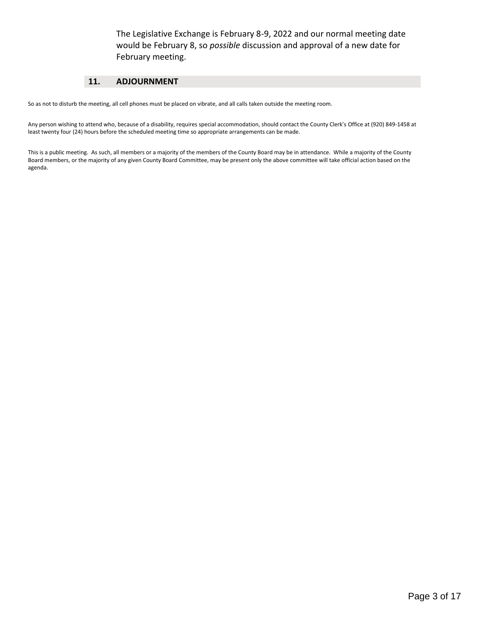The Legislative Exchange is February 8-9, 2022 and our normal meeting date would be February 8, so *possible* discussion and approval of a new date for February meeting.

#### **11. ADJOURNMENT**

So as not to disturb the meeting, all cell phones must be placed on vibrate, and all calls taken outside the meeting room.

Any person wishing to attend who, because of a disability, requires special accommodation, should contact the County Clerk's Office at (920) 849-1458 at least twenty four (24) hours before the scheduled meeting time so appropriate arrangements can be made.

This is a public meeting. As such, all members or a majority of the members of the County Board may be in attendance. While a majority of the County Board members, or the majority of any given County Board Committee, may be present only the above committee will take official action based on the agenda.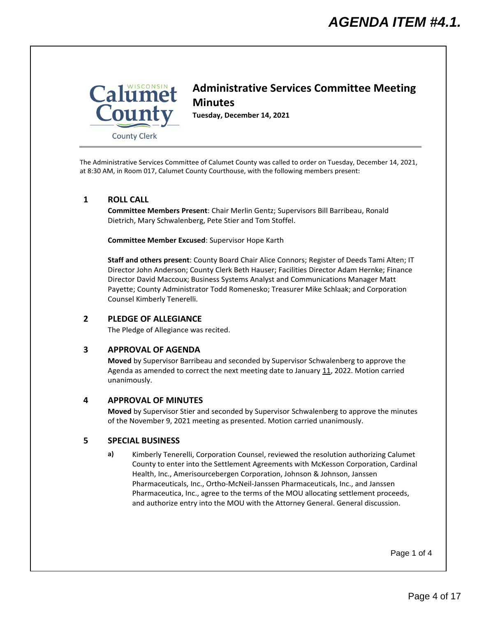<span id="page-3-0"></span>

## **Administrative Services Committee Meeting Minutes**

**Tuesday, December 14, 2021**

The Administrative Services Committee of Calumet County was called to order on Tuesday, December 14, 2021, at 8:30 AM, in Room 017, Calumet County Courthouse, with the following members present:

#### **1 ROLL CALL**

**Committee Members Present**: Chair Merlin Gentz; Supervisors Bill Barribeau, Ronald Dietrich, Mary Schwalenberg, Pete Stier and Tom Stoffel.

**Committee Member Excused**: Supervisor Hope Karth

**Staff and others present**: County Board Chair Alice Connors; Register of Deeds Tami Alten; IT Director John Anderson; County Clerk Beth Hauser; Facilities Director Adam Hernke; Finance Director David Maccoux; Business Systems Analyst and Communications Manager Matt Payette; County Administrator Todd Romenesko; Treasurer Mike Schlaak; and Corporation Counsel Kimberly Tenerelli.

#### **2 PLEDGE OF ALLEGIANCE**

The Pledge of Allegiance was recited.

#### **3 APPROVAL OF AGENDA**

**Moved** by Supervisor Barribeau and seconded by Supervisor Schwalenberg to approve the Agenda as amended to correct the next meeting date to January 11, 2022. Motion carried unanimously.

#### **4 APPROVAL OF MINUTES**

**Moved** by Supervisor Stier and seconded by Supervisor Schwalenberg to approve the minutes of the November 9, 2021 meeting as presented. Motion carried unanimously.

#### **5 SPECIAL BUSINESS**

**a)** Kimberly Tenerelli, Corporation Counsel, reviewed the resolution authorizing Calumet County to enter into the Settlement Agreements with McKesson Corporation, Cardinal Health, Inc., Amerisourcebergen Corporation, Johnson & Johnson, Janssen Pharmaceuticals, Inc., Ortho-McNeil-Janssen Pharmaceuticals, Inc., and Janssen Pharmaceutica, Inc., agree to the terms of the MOU allocating settlement proceeds, and authorize entry into the MOU with the Attorney General. General discussion.

Page 1 of 4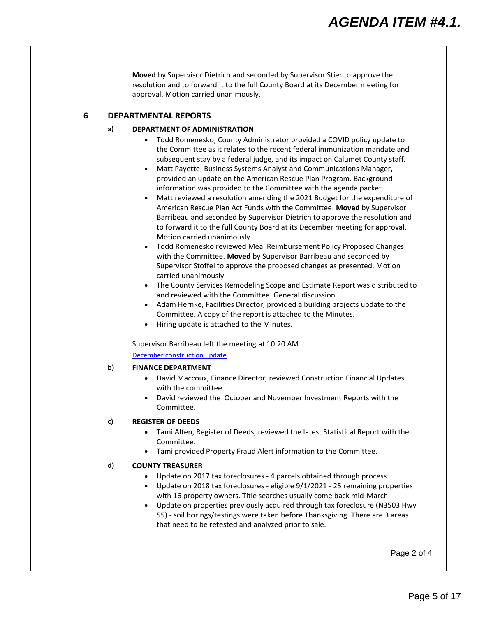**Moved** by Supervisor Dietrich and seconded by Supervisor Stier to approve the resolution and to forward it to the full County Board at its December meeting for approval. Motion carried unanimously.

#### **6 DEPARTMENTAL REPORTS**

#### **a) DEPARTMENT OF ADMINISTRATION**

- Todd Romenesko, County Administrator provided a COVID policy update to the Committee as it relates to the recent federal immunization mandate and subsequent stay by a federal judge, and its impact on Calumet County staff.
- Matt Payette, Business Systems Analyst and Communications Manager, provided an update on the American Rescue Plan Program. Background information was provided to the Committee with the agenda packet.
- Matt reviewed a resolution amending the 2021 Budget for the expenditure of American Rescue Plan Act Funds with the Committee. **Moved** by Supervisor Barribeau and seconded by Supervisor Dietrich to approve the resolution and to forward it to the full County Board at its December meeting for approval. Motion carried unanimously.
- Todd Romenesko reviewed Meal Reimbursement Policy Proposed Changes with the Committee. **Moved** by Supervisor Barribeau and seconded by Supervisor Stoffel to approve the proposed changes as presented. Motion carried unanimously.
- The County Services Remodeling Scope and Estimate Report was distributed to and reviewed with the Committee. General discussion.
- Adam Hernke, Facilities Director, provided a building projects update to the Committee. A copy of the report is attached to the Minutes.
- Hiring update is attached to the Minutes.

Supervisor Barribeau left the meeting at 10:20 AM.

[December construction update](#page-6-0)

#### **b) FINANCE DEPARTMENT**

- David Maccoux, Finance Director, reviewed Construction Financial Updates with the committee.
- David reviewed the October and November Investment Reports with the Committee.

#### **c) REGISTER OF DEEDS**

- Tami Alten, Register of Deeds, reviewed the latest Statistical Report with the Committee.
- Tami provided Property Fraud Alert information to the Committee.

#### **d) COUNTY TREASURER**

- Update on 2017 tax foreclosures 4 parcels obtained through process
- Update on 2018 tax foreclosures eligible 9/1/2021 25 remaining properties with 16 property owners. Title searches usually come back mid-March.
- Update on properties previously acquired through tax foreclosure (N3503 Hwy 55) - soil borings/testings were taken before Thanksgiving. There are 3 areas that need to be retested and analyzed prior to sale.

Page 2 of 4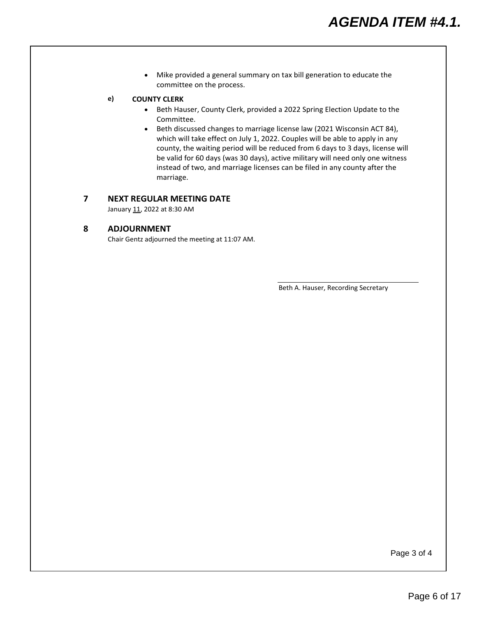• Mike provided a general summary on tax bill generation to educate the committee on the process.

#### **e) COUNTY CLERK**

- Beth Hauser, County Clerk, provided a 2022 Spring Election Update to the Committee.
- Beth discussed changes to marriage license law (2021 Wisconsin ACT 84), which will take effect on July 1, 2022. Couples will be able to apply in any county, the waiting period will be reduced from 6 days to 3 days, license will be valid for 60 days (was 30 days), active military will need only one witness instead of two, and marriage licenses can be filed in any county after the marriage.

#### **7 NEXT REGULAR MEETING DATE**

January 11, 2022 at 8:30 AM

#### **8 ADJOURNMENT**

Chair Gentz adjourned the meeting at 11:07 AM.

Beth A. Hauser, Recording Secretary

Page 3 of 4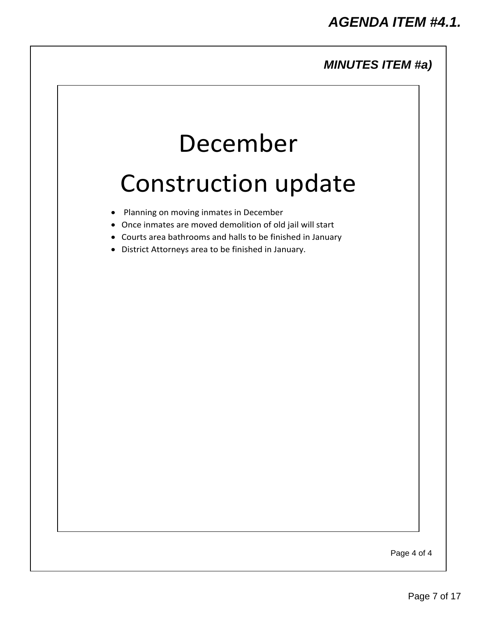### *MINUTES ITEM #a)*

# December

# <span id="page-6-0"></span>Construction update

- Planning on moving inmates in December
- Once inmates are moved demolition of old jail will start
- Courts area bathrooms and halls to be finished in January
- District Attorneys area to be finished in January.

Page 4 of 4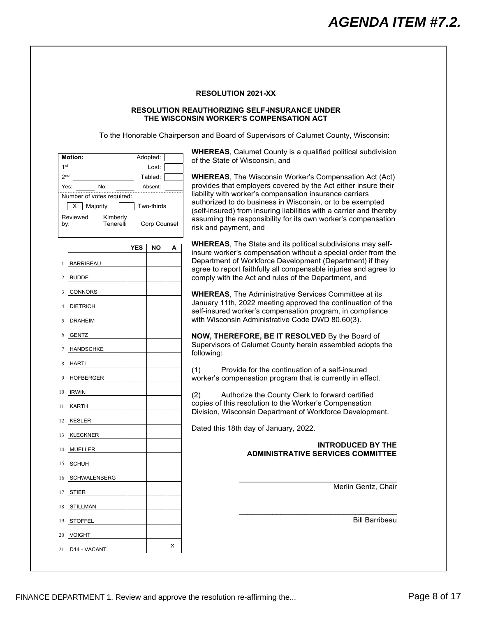#### **RESOLUTION 2021-XX**

#### **RESOLUTION REAUTHORIZING SELF-INSURANCE UNDER THE WISCONSIN WORKER'S COMPENSATION ACT**

To the Honorable Chairperson and Board of Supervisors of Calumet County, Wisconsin:

<span id="page-7-0"></span>

| of the State of Wisconsin, and<br>1 <sup>st</sup><br>Lost:<br>2 <sub>nd</sub><br>Tabled:<br><b>WHEREAS, The Wisconsin Worker's Compensation Act (Act)</b><br>provides that employers covered by the Act either insure their<br>No:<br>Yes:<br>Absent:<br>liability with worker's compensation insurance carriers<br>Number of votes required:<br>authorized to do business in Wisconsin, or to be exempted<br>Majority<br>Two-thirds<br>х<br>(self-insured) from insuring liabilities with a carrier and thereby<br>Reviewed<br>Kimberly<br>assuming the responsibility for its own worker's compensation<br>Corp Counsel<br>Tenerelli<br>by:<br>risk and payment, and<br><b>WHEREAS, The State and its political subdivisions may self-</b><br><b>YES</b><br>ΝO<br>А<br>insure worker's compensation without a special order from the<br>Department of Workforce Development (Department) if they<br><b>BARRIBEAU</b><br>agree to report faithfully all compensable injuries and agree to<br>comply with the Act and rules of the Department, and<br><b>BUDDE</b><br>2<br>CONNORS<br>3<br><b>WHEREAS, The Administrative Services Committee at its</b><br>January 11th, 2022 meeting approved the continuation of the<br><b>DIETRICH</b><br>self-insured worker's compensation program, in compliance<br>with Wisconsin Administrative Code DWD 80.60(3).<br><b>DRAHEIM</b><br>5<br><b>GENTZ</b><br>NOW, THEREFORE, BE IT RESOLVED By the Board of<br>6<br>Supervisors of Calumet County herein assembled adopts the<br><b>HANDSCHKE</b><br>following:<br>HARTL<br>8<br>Provide for the continuation of a self-insured<br>(1)<br>worker's compensation program that is currently in effect.<br>HOFBERGER<br>10 IRWIN<br>(2)<br>Authorize the County Clerk to forward certified<br>copies of this resolution to the Worker's Compensation<br>KARTH<br>11<br>Division, Wisconsin Department of Workforce Development.<br>KESLER<br>12<br>Dated this 18th day of January, 2022.<br><b>KLECKNER</b><br>13<br><b>INTRODUCED BY THE</b><br><b>MUELLER</b><br>14<br><b>ADMINISTRATIVE SERVICES COMMITTEE</b><br>SCHUH<br>15<br>16 SCHWALENBERG<br>Merlin Gentz, Chair<br>17 STIER<br>18 STILLMAN<br><b>Bill Barribeau</b><br>19 STOFFEL<br>20 VOIGHT | <b>Motion:</b> | Adopted: | <b>WHEREAS, Calumet County is a qualified political subdivision</b> |  |  |
|------------------------------------------------------------------------------------------------------------------------------------------------------------------------------------------------------------------------------------------------------------------------------------------------------------------------------------------------------------------------------------------------------------------------------------------------------------------------------------------------------------------------------------------------------------------------------------------------------------------------------------------------------------------------------------------------------------------------------------------------------------------------------------------------------------------------------------------------------------------------------------------------------------------------------------------------------------------------------------------------------------------------------------------------------------------------------------------------------------------------------------------------------------------------------------------------------------------------------------------------------------------------------------------------------------------------------------------------------------------------------------------------------------------------------------------------------------------------------------------------------------------------------------------------------------------------------------------------------------------------------------------------------------------------------------------------------------------------------------------------------------------------------------------------------------------------------------------------------------------------------------------------------------------------------------------------------------------------------------------------------------------------------------------------------------------------------------------------------------------------------------------------------------------------------------------------------------------------------------------------|----------------|----------|---------------------------------------------------------------------|--|--|
|                                                                                                                                                                                                                                                                                                                                                                                                                                                                                                                                                                                                                                                                                                                                                                                                                                                                                                                                                                                                                                                                                                                                                                                                                                                                                                                                                                                                                                                                                                                                                                                                                                                                                                                                                                                                                                                                                                                                                                                                                                                                                                                                                                                                                                                |                |          |                                                                     |  |  |
|                                                                                                                                                                                                                                                                                                                                                                                                                                                                                                                                                                                                                                                                                                                                                                                                                                                                                                                                                                                                                                                                                                                                                                                                                                                                                                                                                                                                                                                                                                                                                                                                                                                                                                                                                                                                                                                                                                                                                                                                                                                                                                                                                                                                                                                |                |          |                                                                     |  |  |
|                                                                                                                                                                                                                                                                                                                                                                                                                                                                                                                                                                                                                                                                                                                                                                                                                                                                                                                                                                                                                                                                                                                                                                                                                                                                                                                                                                                                                                                                                                                                                                                                                                                                                                                                                                                                                                                                                                                                                                                                                                                                                                                                                                                                                                                |                |          |                                                                     |  |  |
|                                                                                                                                                                                                                                                                                                                                                                                                                                                                                                                                                                                                                                                                                                                                                                                                                                                                                                                                                                                                                                                                                                                                                                                                                                                                                                                                                                                                                                                                                                                                                                                                                                                                                                                                                                                                                                                                                                                                                                                                                                                                                                                                                                                                                                                |                |          |                                                                     |  |  |
|                                                                                                                                                                                                                                                                                                                                                                                                                                                                                                                                                                                                                                                                                                                                                                                                                                                                                                                                                                                                                                                                                                                                                                                                                                                                                                                                                                                                                                                                                                                                                                                                                                                                                                                                                                                                                                                                                                                                                                                                                                                                                                                                                                                                                                                |                |          |                                                                     |  |  |
|                                                                                                                                                                                                                                                                                                                                                                                                                                                                                                                                                                                                                                                                                                                                                                                                                                                                                                                                                                                                                                                                                                                                                                                                                                                                                                                                                                                                                                                                                                                                                                                                                                                                                                                                                                                                                                                                                                                                                                                                                                                                                                                                                                                                                                                |                |          |                                                                     |  |  |
|                                                                                                                                                                                                                                                                                                                                                                                                                                                                                                                                                                                                                                                                                                                                                                                                                                                                                                                                                                                                                                                                                                                                                                                                                                                                                                                                                                                                                                                                                                                                                                                                                                                                                                                                                                                                                                                                                                                                                                                                                                                                                                                                                                                                                                                |                |          |                                                                     |  |  |
|                                                                                                                                                                                                                                                                                                                                                                                                                                                                                                                                                                                                                                                                                                                                                                                                                                                                                                                                                                                                                                                                                                                                                                                                                                                                                                                                                                                                                                                                                                                                                                                                                                                                                                                                                                                                                                                                                                                                                                                                                                                                                                                                                                                                                                                |                |          |                                                                     |  |  |
|                                                                                                                                                                                                                                                                                                                                                                                                                                                                                                                                                                                                                                                                                                                                                                                                                                                                                                                                                                                                                                                                                                                                                                                                                                                                                                                                                                                                                                                                                                                                                                                                                                                                                                                                                                                                                                                                                                                                                                                                                                                                                                                                                                                                                                                |                |          |                                                                     |  |  |
|                                                                                                                                                                                                                                                                                                                                                                                                                                                                                                                                                                                                                                                                                                                                                                                                                                                                                                                                                                                                                                                                                                                                                                                                                                                                                                                                                                                                                                                                                                                                                                                                                                                                                                                                                                                                                                                                                                                                                                                                                                                                                                                                                                                                                                                |                |          |                                                                     |  |  |
|                                                                                                                                                                                                                                                                                                                                                                                                                                                                                                                                                                                                                                                                                                                                                                                                                                                                                                                                                                                                                                                                                                                                                                                                                                                                                                                                                                                                                                                                                                                                                                                                                                                                                                                                                                                                                                                                                                                                                                                                                                                                                                                                                                                                                                                |                |          |                                                                     |  |  |
|                                                                                                                                                                                                                                                                                                                                                                                                                                                                                                                                                                                                                                                                                                                                                                                                                                                                                                                                                                                                                                                                                                                                                                                                                                                                                                                                                                                                                                                                                                                                                                                                                                                                                                                                                                                                                                                                                                                                                                                                                                                                                                                                                                                                                                                |                |          |                                                                     |  |  |
|                                                                                                                                                                                                                                                                                                                                                                                                                                                                                                                                                                                                                                                                                                                                                                                                                                                                                                                                                                                                                                                                                                                                                                                                                                                                                                                                                                                                                                                                                                                                                                                                                                                                                                                                                                                                                                                                                                                                                                                                                                                                                                                                                                                                                                                |                |          |                                                                     |  |  |
|                                                                                                                                                                                                                                                                                                                                                                                                                                                                                                                                                                                                                                                                                                                                                                                                                                                                                                                                                                                                                                                                                                                                                                                                                                                                                                                                                                                                                                                                                                                                                                                                                                                                                                                                                                                                                                                                                                                                                                                                                                                                                                                                                                                                                                                |                |          |                                                                     |  |  |
|                                                                                                                                                                                                                                                                                                                                                                                                                                                                                                                                                                                                                                                                                                                                                                                                                                                                                                                                                                                                                                                                                                                                                                                                                                                                                                                                                                                                                                                                                                                                                                                                                                                                                                                                                                                                                                                                                                                                                                                                                                                                                                                                                                                                                                                |                |          |                                                                     |  |  |
|                                                                                                                                                                                                                                                                                                                                                                                                                                                                                                                                                                                                                                                                                                                                                                                                                                                                                                                                                                                                                                                                                                                                                                                                                                                                                                                                                                                                                                                                                                                                                                                                                                                                                                                                                                                                                                                                                                                                                                                                                                                                                                                                                                                                                                                |                |          |                                                                     |  |  |
|                                                                                                                                                                                                                                                                                                                                                                                                                                                                                                                                                                                                                                                                                                                                                                                                                                                                                                                                                                                                                                                                                                                                                                                                                                                                                                                                                                                                                                                                                                                                                                                                                                                                                                                                                                                                                                                                                                                                                                                                                                                                                                                                                                                                                                                |                |          |                                                                     |  |  |
|                                                                                                                                                                                                                                                                                                                                                                                                                                                                                                                                                                                                                                                                                                                                                                                                                                                                                                                                                                                                                                                                                                                                                                                                                                                                                                                                                                                                                                                                                                                                                                                                                                                                                                                                                                                                                                                                                                                                                                                                                                                                                                                                                                                                                                                |                |          |                                                                     |  |  |
|                                                                                                                                                                                                                                                                                                                                                                                                                                                                                                                                                                                                                                                                                                                                                                                                                                                                                                                                                                                                                                                                                                                                                                                                                                                                                                                                                                                                                                                                                                                                                                                                                                                                                                                                                                                                                                                                                                                                                                                                                                                                                                                                                                                                                                                |                |          |                                                                     |  |  |
|                                                                                                                                                                                                                                                                                                                                                                                                                                                                                                                                                                                                                                                                                                                                                                                                                                                                                                                                                                                                                                                                                                                                                                                                                                                                                                                                                                                                                                                                                                                                                                                                                                                                                                                                                                                                                                                                                                                                                                                                                                                                                                                                                                                                                                                |                |          |                                                                     |  |  |
|                                                                                                                                                                                                                                                                                                                                                                                                                                                                                                                                                                                                                                                                                                                                                                                                                                                                                                                                                                                                                                                                                                                                                                                                                                                                                                                                                                                                                                                                                                                                                                                                                                                                                                                                                                                                                                                                                                                                                                                                                                                                                                                                                                                                                                                |                |          |                                                                     |  |  |
|                                                                                                                                                                                                                                                                                                                                                                                                                                                                                                                                                                                                                                                                                                                                                                                                                                                                                                                                                                                                                                                                                                                                                                                                                                                                                                                                                                                                                                                                                                                                                                                                                                                                                                                                                                                                                                                                                                                                                                                                                                                                                                                                                                                                                                                |                |          |                                                                     |  |  |
|                                                                                                                                                                                                                                                                                                                                                                                                                                                                                                                                                                                                                                                                                                                                                                                                                                                                                                                                                                                                                                                                                                                                                                                                                                                                                                                                                                                                                                                                                                                                                                                                                                                                                                                                                                                                                                                                                                                                                                                                                                                                                                                                                                                                                                                |                |          |                                                                     |  |  |
|                                                                                                                                                                                                                                                                                                                                                                                                                                                                                                                                                                                                                                                                                                                                                                                                                                                                                                                                                                                                                                                                                                                                                                                                                                                                                                                                                                                                                                                                                                                                                                                                                                                                                                                                                                                                                                                                                                                                                                                                                                                                                                                                                                                                                                                |                |          |                                                                     |  |  |
|                                                                                                                                                                                                                                                                                                                                                                                                                                                                                                                                                                                                                                                                                                                                                                                                                                                                                                                                                                                                                                                                                                                                                                                                                                                                                                                                                                                                                                                                                                                                                                                                                                                                                                                                                                                                                                                                                                                                                                                                                                                                                                                                                                                                                                                |                |          |                                                                     |  |  |
|                                                                                                                                                                                                                                                                                                                                                                                                                                                                                                                                                                                                                                                                                                                                                                                                                                                                                                                                                                                                                                                                                                                                                                                                                                                                                                                                                                                                                                                                                                                                                                                                                                                                                                                                                                                                                                                                                                                                                                                                                                                                                                                                                                                                                                                |                |          |                                                                     |  |  |
|                                                                                                                                                                                                                                                                                                                                                                                                                                                                                                                                                                                                                                                                                                                                                                                                                                                                                                                                                                                                                                                                                                                                                                                                                                                                                                                                                                                                                                                                                                                                                                                                                                                                                                                                                                                                                                                                                                                                                                                                                                                                                                                                                                                                                                                |                |          |                                                                     |  |  |
|                                                                                                                                                                                                                                                                                                                                                                                                                                                                                                                                                                                                                                                                                                                                                                                                                                                                                                                                                                                                                                                                                                                                                                                                                                                                                                                                                                                                                                                                                                                                                                                                                                                                                                                                                                                                                                                                                                                                                                                                                                                                                                                                                                                                                                                |                |          |                                                                     |  |  |
|                                                                                                                                                                                                                                                                                                                                                                                                                                                                                                                                                                                                                                                                                                                                                                                                                                                                                                                                                                                                                                                                                                                                                                                                                                                                                                                                                                                                                                                                                                                                                                                                                                                                                                                                                                                                                                                                                                                                                                                                                                                                                                                                                                                                                                                |                |          |                                                                     |  |  |
|                                                                                                                                                                                                                                                                                                                                                                                                                                                                                                                                                                                                                                                                                                                                                                                                                                                                                                                                                                                                                                                                                                                                                                                                                                                                                                                                                                                                                                                                                                                                                                                                                                                                                                                                                                                                                                                                                                                                                                                                                                                                                                                                                                                                                                                |                |          |                                                                     |  |  |
|                                                                                                                                                                                                                                                                                                                                                                                                                                                                                                                                                                                                                                                                                                                                                                                                                                                                                                                                                                                                                                                                                                                                                                                                                                                                                                                                                                                                                                                                                                                                                                                                                                                                                                                                                                                                                                                                                                                                                                                                                                                                                                                                                                                                                                                |                |          |                                                                     |  |  |
|                                                                                                                                                                                                                                                                                                                                                                                                                                                                                                                                                                                                                                                                                                                                                                                                                                                                                                                                                                                                                                                                                                                                                                                                                                                                                                                                                                                                                                                                                                                                                                                                                                                                                                                                                                                                                                                                                                                                                                                                                                                                                                                                                                                                                                                |                |          |                                                                     |  |  |
|                                                                                                                                                                                                                                                                                                                                                                                                                                                                                                                                                                                                                                                                                                                                                                                                                                                                                                                                                                                                                                                                                                                                                                                                                                                                                                                                                                                                                                                                                                                                                                                                                                                                                                                                                                                                                                                                                                                                                                                                                                                                                                                                                                                                                                                |                |          |                                                                     |  |  |
|                                                                                                                                                                                                                                                                                                                                                                                                                                                                                                                                                                                                                                                                                                                                                                                                                                                                                                                                                                                                                                                                                                                                                                                                                                                                                                                                                                                                                                                                                                                                                                                                                                                                                                                                                                                                                                                                                                                                                                                                                                                                                                                                                                                                                                                |                |          |                                                                     |  |  |
|                                                                                                                                                                                                                                                                                                                                                                                                                                                                                                                                                                                                                                                                                                                                                                                                                                                                                                                                                                                                                                                                                                                                                                                                                                                                                                                                                                                                                                                                                                                                                                                                                                                                                                                                                                                                                                                                                                                                                                                                                                                                                                                                                                                                                                                |                |          |                                                                     |  |  |
| х                                                                                                                                                                                                                                                                                                                                                                                                                                                                                                                                                                                                                                                                                                                                                                                                                                                                                                                                                                                                                                                                                                                                                                                                                                                                                                                                                                                                                                                                                                                                                                                                                                                                                                                                                                                                                                                                                                                                                                                                                                                                                                                                                                                                                                              |                |          |                                                                     |  |  |
| 21 D14 - VACANT                                                                                                                                                                                                                                                                                                                                                                                                                                                                                                                                                                                                                                                                                                                                                                                                                                                                                                                                                                                                                                                                                                                                                                                                                                                                                                                                                                                                                                                                                                                                                                                                                                                                                                                                                                                                                                                                                                                                                                                                                                                                                                                                                                                                                                |                |          |                                                                     |  |  |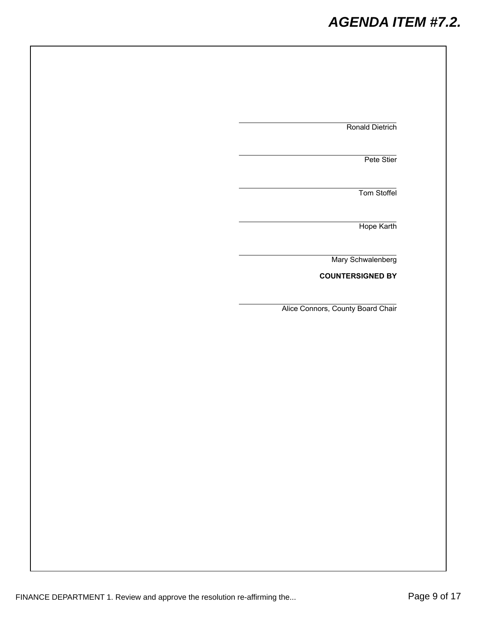## *AGENDA ITEM #7.2.*

| Ronald Dietrich                   |
|-----------------------------------|
| Pete Stier                        |
| Tom Stoffel                       |
| Hope Karth                        |
| Mary Schwalenberg                 |
| <b>COUNTERSIGNED BY</b>           |
| Alice Connors, County Board Chair |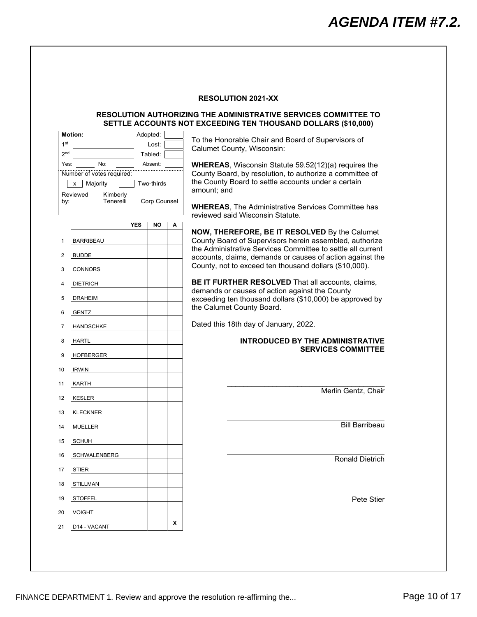#### **RESOLUTION 2021-XX**

#### **RESOLUTION AUTHORIZING THE ADMINISTRATIVE SERVICES COMMITTEE TO SETTLE ACCOUNTS NOT EXCEEDING TEN THOUSAND DOLLARS (\$10,000)**

<span id="page-9-0"></span>

| To the Honorable Chair and Board of Supervisors of                                                                      |       | Adopted:     |            |                                  | <b>Motion:</b>   |
|-------------------------------------------------------------------------------------------------------------------------|-------|--------------|------------|----------------------------------|------------------|
| Calumet County, Wisconsin:                                                                                              | Lost: |              |            | 1 <sup>st</sup>                  |                  |
|                                                                                                                         |       | Tabled:      |            |                                  | 2 <sub>nd</sub>  |
| <b>WHEREAS, Wisconsin Statute 59.52(12)(a) requires the</b><br>County Board, by resolution, to authorize a committee of |       | Absent:      |            | No:<br>Number of votes required: | Yes:             |
| the County Board to settle accounts under a certain                                                                     |       | Two-thirds   |            | Majority                         | x                |
| amount; and                                                                                                             |       |              |            | Kimberly                         | Reviewed         |
| <b>WHEREAS, The Administrative Services Committee has</b>                                                               |       | Corp Counsel |            | Tenerelli                        | by:              |
| reviewed said Wisconsin Statute.                                                                                        |       |              |            |                                  |                  |
|                                                                                                                         | A     | NO           | <b>YES</b> |                                  |                  |
| NOW, THEREFORE, BE IT RESOLVED By the Calumet<br>County Board of Supervisors herein assembled, authorize                |       |              |            |                                  | <b>BARRIBEAU</b> |
| the Administrative Services Committee to settle all current                                                             |       |              |            |                                  |                  |
| accounts, claims, demands or causes of action against the                                                               |       |              |            |                                  | <b>BUDDE</b>     |
| County, not to exceed ten thousand dollars (\$10,000).                                                                  |       |              |            |                                  | <b>CONNORS</b>   |
| BE IT FURTHER RESOLVED That all accounts, claims,                                                                       |       |              |            |                                  |                  |
| demands or causes of action against the County                                                                          |       |              |            |                                  | <b>DIETRICH</b>  |
| exceeding ten thousand dollars (\$10,000) be approved by                                                                |       |              |            |                                  | <b>DRAHEIM</b>   |
| the Calumet County Board.                                                                                               |       |              |            |                                  | <b>GENTZ</b>     |
| Dated this 18th day of January, 2022.                                                                                   |       |              |            | <b>HANDSCHKE</b>                 |                  |
| <b>INTRODUCED BY THE ADMINISTRATIVE</b>                                                                                 |       |              |            |                                  | HARTL            |
| <b>SERVICES COMMITTEE</b>                                                                                               |       |              |            | <b>HOFBERGER</b>                 |                  |
|                                                                                                                         |       |              |            |                                  |                  |
|                                                                                                                         |       |              |            |                                  | <b>IRWIN</b>     |
|                                                                                                                         |       |              |            |                                  | KARTH            |
| Merlin Gentz, Chair                                                                                                     |       |              |            |                                  | KESLER           |
|                                                                                                                         |       |              |            |                                  | <b>KLECKNER</b>  |
| <b>Bill Barribeau</b>                                                                                                   |       |              |            |                                  | <b>MUELLER</b>   |
|                                                                                                                         |       |              |            |                                  |                  |
|                                                                                                                         |       |              |            |                                  | <b>SCHUH</b>     |
| <b>Ronald Dietrich</b>                                                                                                  |       |              |            | <b>SCHWALENBERG</b>              |                  |
|                                                                                                                         |       |              |            |                                  | <b>STIER</b>     |
|                                                                                                                         |       |              |            |                                  | STILLMAN         |
|                                                                                                                         |       |              |            |                                  | <b>STOFFEL</b>   |
| Pete Stier                                                                                                              |       |              |            |                                  |                  |
|                                                                                                                         |       |              |            |                                  | <b>VOIGHT</b>    |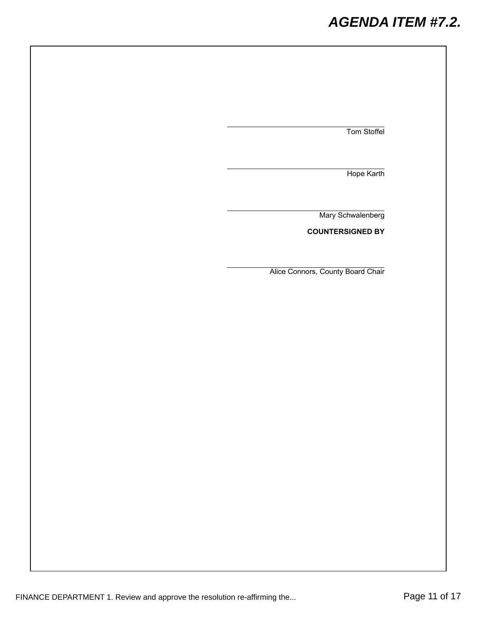## *AGENDA ITEM #7.2.*

Tom Stoffel

Hope Karth

Mary Schwalenberg

**COUNTERSIGNED BY**

Alice Connors, County Board Chair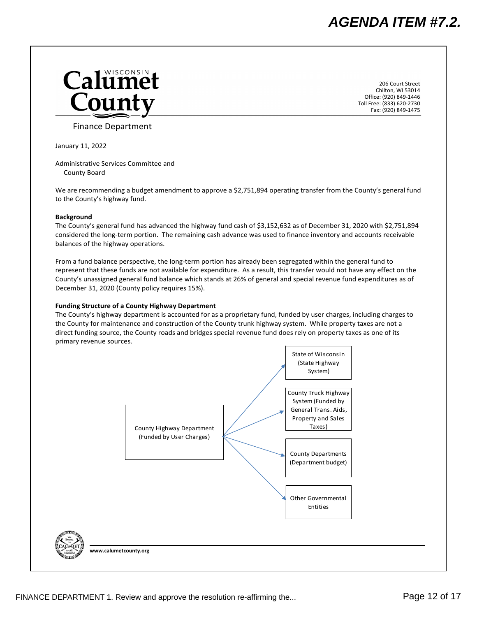<span id="page-11-0"></span>

206 Court Street Chilton, WI 53014 Office: (920) 849‐1446 Toll Free: (833) 620‐2730 Fax: (920) 849‐1475

Finance Department

January 11, 2022

Administrative Services Committee and County Board

We are recommending a budget amendment to approve a \$2,751,894 operating transfer from the County's general fund to the County's highway fund.

#### **Background**

The County's general fund has advanced the highway fund cash of \$3,152,632 as of December 31, 2020 with \$2,751,894 considered the long‐term portion. The remaining cash advance was used to finance inventory and accounts receivable balances of the highway operations.

From a fund balance perspective, the long-term portion has already been segregated within the general fund to represent that these funds are not available for expenditure. As a result, this transfer would not have any effect on the County's unassigned general fund balance which stands at 26% of general and special revenue fund expenditures as of December 31, 2020 (County policy requires 15%).

#### **Funding Structure of a County Highway Department**

The County's highway department is accounted for as a proprietary fund, funded by user charges, including charges to the County for maintenance and construction of the County trunk highway system. While property taxes are not a direct funding source, the County roads and bridges special revenue fund does rely on property taxes as one of its primary revenue sources.

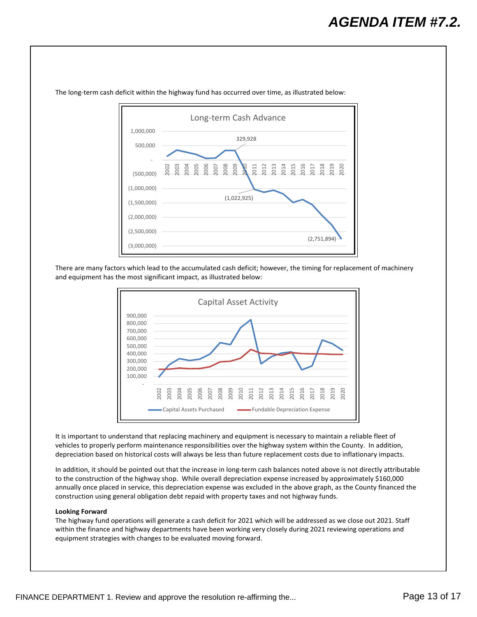

The long-term cash deficit within the highway fund has occurred over time, as illustrated below:

There are many factors which lead to the accumulated cash deficit; however, the timing for replacement of machinery and equipment has the most significant impact, as illustrated below:



It is important to understand that replacing machinery and equipment is necessary to maintain a reliable fleet of vehicles to properly perform maintenance responsibilities over the highway system within the County. In addition, depreciation based on historical costs will always be less than future replacement costs due to inflationary impacts.

In addition, it should be pointed out that the increase in long‐term cash balances noted above is not directly attributable to the construction of the highway shop. While overall depreciation expense increased by approximately \$160,000 annually once placed in service, this depreciation expense was excluded in the above graph, as the County financed the construction using general obligation debt repaid with property taxes and not highway funds.

#### **Looking Forward**

The highway fund operations will generate a cash deficit for 2021 which will be addressed as we close out 2021. Staff within the finance and highway departments have been working very closely during 2021 reviewing operations and equipment strategies with changes to be evaluated moving forward.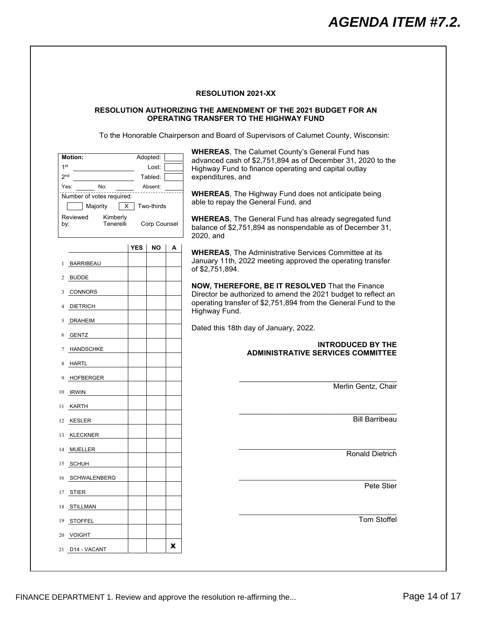#### **RESOLUTION 2021-XX**

#### <span id="page-13-0"></span>**RESOLUTION AUTHORIZING THE AMENDMENT OF THE 2021 BUDGET FOR AN OPERATING TRANSFER TO THE HIGHWAY FUND**

To the Honorable Chairperson and Board of Supervisors of Calumet County, Wisconsin:

| <b>Motion:</b><br>1 <sup>st</sup><br>2 <sub>nd</sub><br>No:<br>Yes:<br>Number of votes required:<br>Majority<br>х<br>Reviewed<br>Kimberly<br>Tenerelli<br>by: |            | Adopted:<br>Lost:<br>Tabled:<br>Absent:<br>Two-thirds<br>Corp Counsel |   | <b>WHEREAS, The Calumet County's General Fund has</b><br>advanced cash of \$2,751,894 as of December 31, 2020 to the<br>Highway Fund to finance operating and capital outlay<br>expenditures, and<br><b>WHEREAS, The Highway Fund does not anticipate being</b><br>able to repay the General Fund, and<br><b>WHEREAS, The General Fund has already segregated fund</b><br>balance of \$2,751,894 as nonspendable as of December 31,<br>2020, and |
|---------------------------------------------------------------------------------------------------------------------------------------------------------------|------------|-----------------------------------------------------------------------|---|--------------------------------------------------------------------------------------------------------------------------------------------------------------------------------------------------------------------------------------------------------------------------------------------------------------------------------------------------------------------------------------------------------------------------------------------------|
|                                                                                                                                                               | <b>YES</b> | ΝO                                                                    | А | <b>WHEREAS, The Administrative Services Committee at its</b>                                                                                                                                                                                                                                                                                                                                                                                     |
| BARRIBEAU<br>1                                                                                                                                                |            |                                                                       |   | January 11th, 2022 meeting approved the operating transfer<br>of \$2,751,894.                                                                                                                                                                                                                                                                                                                                                                    |
| <b>BUDDE</b><br>2                                                                                                                                             |            |                                                                       |   | NOW, THEREFORE, BE IT RESOLVED That the Finance                                                                                                                                                                                                                                                                                                                                                                                                  |
| CONNORS<br>3                                                                                                                                                  |            |                                                                       |   | Director be authorized to amend the 2021 budget to reflect an                                                                                                                                                                                                                                                                                                                                                                                    |
| <b>DIETRICH</b>                                                                                                                                               |            |                                                                       |   | operating transfer of \$2,751,894 from the General Fund to the<br>Highway Fund.                                                                                                                                                                                                                                                                                                                                                                  |
| <b>DRAHEIM</b><br>5                                                                                                                                           |            |                                                                       |   |                                                                                                                                                                                                                                                                                                                                                                                                                                                  |
| <b>GENTZ</b><br>6                                                                                                                                             |            |                                                                       |   | Dated this 18th day of January, 2022.                                                                                                                                                                                                                                                                                                                                                                                                            |
| <b>HANDSCHKE</b>                                                                                                                                              |            |                                                                       |   | <b>INTRODUCED BY THE</b><br><b>ADMINISTRATIVE SERVICES COMMITTEE</b>                                                                                                                                                                                                                                                                                                                                                                             |
| <b>HARTL</b><br>8                                                                                                                                             |            |                                                                       |   |                                                                                                                                                                                                                                                                                                                                                                                                                                                  |
| <b>HOFBERGER</b><br>9                                                                                                                                         |            |                                                                       |   |                                                                                                                                                                                                                                                                                                                                                                                                                                                  |
| <b>IRWIN</b><br>10                                                                                                                                            |            |                                                                       |   | Merlin Gentz, Chair                                                                                                                                                                                                                                                                                                                                                                                                                              |
|                                                                                                                                                               |            |                                                                       |   |                                                                                                                                                                                                                                                                                                                                                                                                                                                  |
| KARTH<br>11                                                                                                                                                   |            |                                                                       |   |                                                                                                                                                                                                                                                                                                                                                                                                                                                  |
| KESLER<br>12                                                                                                                                                  |            |                                                                       |   | <b>Bill Barribeau</b>                                                                                                                                                                                                                                                                                                                                                                                                                            |
| <b>KLECKNER</b><br>13                                                                                                                                         |            |                                                                       |   |                                                                                                                                                                                                                                                                                                                                                                                                                                                  |
| MUELLER<br>14                                                                                                                                                 |            |                                                                       |   | <b>Ronald Dietrich</b>                                                                                                                                                                                                                                                                                                                                                                                                                           |
| SCHUH<br>15                                                                                                                                                   |            |                                                                       |   |                                                                                                                                                                                                                                                                                                                                                                                                                                                  |
| 16 SCHWALENBERG                                                                                                                                               |            |                                                                       |   |                                                                                                                                                                                                                                                                                                                                                                                                                                                  |
| 17 STIER                                                                                                                                                      |            |                                                                       |   | Pete Stier                                                                                                                                                                                                                                                                                                                                                                                                                                       |
| 18 STILLMAN                                                                                                                                                   |            |                                                                       |   |                                                                                                                                                                                                                                                                                                                                                                                                                                                  |
| 19 STOFFEL                                                                                                                                                    |            |                                                                       |   | <b>Tom Stoffel</b>                                                                                                                                                                                                                                                                                                                                                                                                                               |
| 20 VOIGHT                                                                                                                                                     |            |                                                                       |   |                                                                                                                                                                                                                                                                                                                                                                                                                                                  |
| 21 D14 - VACANT                                                                                                                                               |            |                                                                       | X |                                                                                                                                                                                                                                                                                                                                                                                                                                                  |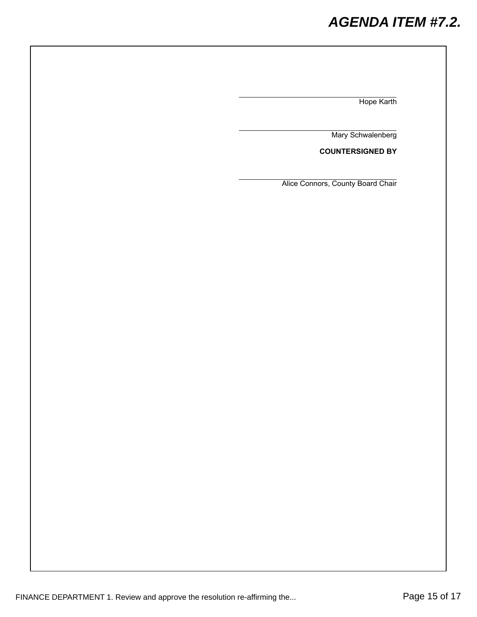## *AGENDA ITEM #7.2.*

Hope Karth

Mary Schwalenberg

**COUNTERSIGNED BY**

Alice Connors, County Board Chair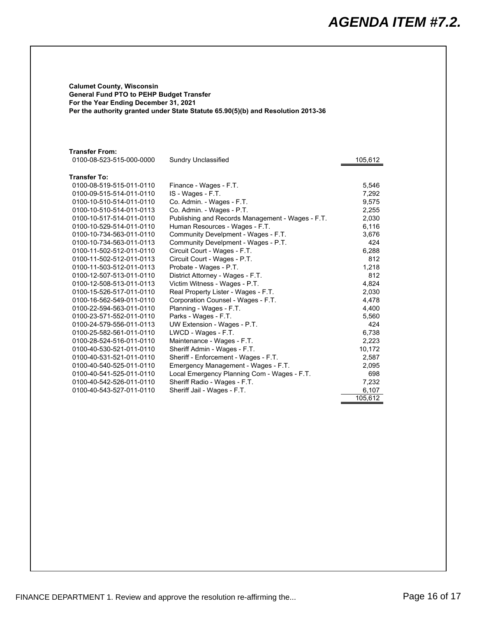<span id="page-15-0"></span>**Calumet County, Wisconsin General Fund PTO to PEHP Budget Transfer For the Year Ending December 31, 2021 Per the authority granted under State Statute 65.90(5)(b) and Resolution 2013-36**

#### **Transfer From:**

| 0100-08-523-515-000-0000 | <b>Sundry Unclassified</b>                      | 105,612 |
|--------------------------|-------------------------------------------------|---------|
| Transfer To:             |                                                 |         |
| 0100-08-519-515-011-0110 | Finance - Wages - F.T.                          | 5.546   |
| 0100-09-515-514-011-0110 | IS - Wages - F.T.                               | 7.292   |
| 0100-10-510-514-011-0110 | Co. Admin. - Wages - F.T.                       | 9.575   |
| 0100-10-510-514-011-0113 | Co. Admin. - Wages - P.T.                       | 2,255   |
| 0100-10-517-514-011-0110 | Publishing and Records Management - Wages - F T | 2.030   |

| 0100-10-517-514-011-0110 | Publishing and Records Management - Wages - F.T. | 2,030   |
|--------------------------|--------------------------------------------------|---------|
| 0100-10-529-514-011-0110 | Human Resources - Wages - F.T.                   | 6,116   |
| 0100-10-734-563-011-0110 | Community Develpment - Wages - F.T.              | 3,676   |
| 0100-10-734-563-011-0113 | Community Develpment - Wages - P.T.              | 424     |
| 0100-11-502-512-011-0110 | Circuit Court - Wages - F.T.                     | 6,288   |
| 0100-11-502-512-011-0113 | Circuit Court - Wages - P.T.                     | 812     |
| 0100-11-503-512-011-0113 | Probate - Wages - P.T.                           | 1,218   |
| 0100-12-507-513-011-0110 | District Attorney - Wages - F.T.                 | 812     |
| 0100-12-508-513-011-0113 | Victim Witness - Wages - P.T.                    | 4,824   |
| 0100-15-526-517-011-0110 | Real Property Lister - Wages - F.T.              | 2,030   |
| 0100-16-562-549-011-0110 | Corporation Counsel - Wages - F.T.               | 4,478   |
| 0100-22-594-563-011-0110 | Planning - Wages - F.T.                          | 4,400   |
| 0100-23-571-552-011-0110 | Parks - Wages - F.T.                             | 5,560   |
| 0100-24-579-556-011-0113 | UW Extension - Wages - P.T.                      | 424     |
| 0100-25-582-561-011-0110 | LWCD - Wages - F.T.                              | 6,738   |
| 0100-28-524-516-011-0110 | Maintenance - Wages - F.T.                       | 2,223   |
| 0100-40-530-521-011-0110 | Sheriff Admin - Wages - F.T.                     | 10,172  |
| 0100-40-531-521-011-0110 | Sheriff - Enforcement - Wages - F.T.             | 2,587   |
| 0100-40-540-525-011-0110 | Emergency Management - Wages - F.T.              | 2,095   |
| 0100-40-541-525-011-0110 | Local Emergency Planning Com - Wages - F.T.      | 698     |
| 0100-40-542-526-011-0110 | Sheriff Radio - Wages - F.T.                     | 7,232   |
| 0100-40-543-527-011-0110 | Sheriff Jail - Wages - F.T.                      | 6,107   |
|                          |                                                  | 105,612 |